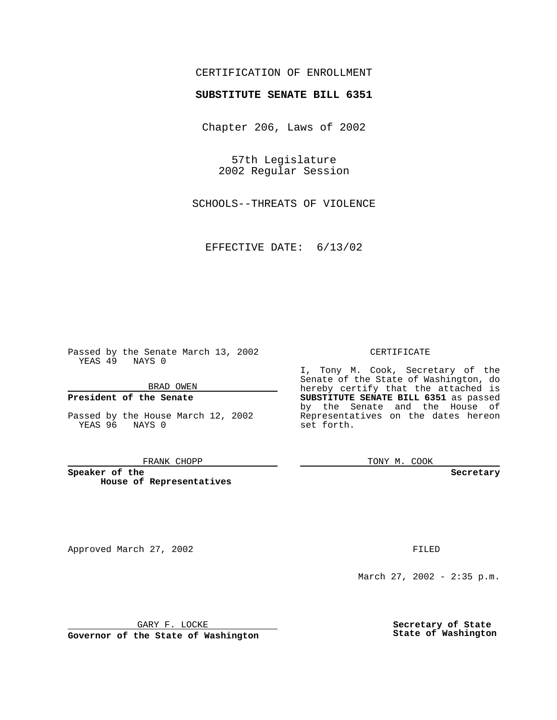# CERTIFICATION OF ENROLLMENT

# **SUBSTITUTE SENATE BILL 6351**

Chapter 206, Laws of 2002

57th Legislature 2002 Regular Session

SCHOOLS--THREATS OF VIOLENCE

EFFECTIVE DATE: 6/13/02

Passed by the Senate March 13, 2002 YEAS 49 NAYS 0

BRAD OWEN

## **President of the Senate**

Passed by the House March 12, 2002 YEAS 96 NAYS 0

#### FRANK CHOPP

**Speaker of the House of Representatives**

Approved March 27, 2002 **FILED** 

#### CERTIFICATE

I, Tony M. Cook, Secretary of the Senate of the State of Washington, do hereby certify that the attached is **SUBSTITUTE SENATE BILL 6351** as passed by the Senate and the House of Representatives on the dates hereon set forth.

TONY M. COOK

**Secretary**

March 27, 2002 - 2:35 p.m.

GARY F. LOCKE

**Governor of the State of Washington**

**Secretary of State State of Washington**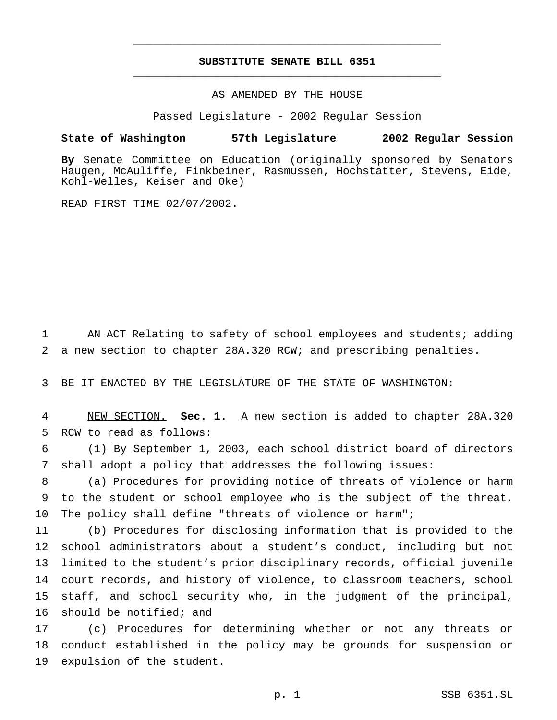# **SUBSTITUTE SENATE BILL 6351** \_\_\_\_\_\_\_\_\_\_\_\_\_\_\_\_\_\_\_\_\_\_\_\_\_\_\_\_\_\_\_\_\_\_\_\_\_\_\_\_\_\_\_\_\_\_\_

\_\_\_\_\_\_\_\_\_\_\_\_\_\_\_\_\_\_\_\_\_\_\_\_\_\_\_\_\_\_\_\_\_\_\_\_\_\_\_\_\_\_\_\_\_\_\_

## AS AMENDED BY THE HOUSE

Passed Legislature - 2002 Regular Session

#### **State of Washington 57th Legislature 2002 Regular Session**

**By** Senate Committee on Education (originally sponsored by Senators Haugen, McAuliffe, Finkbeiner, Rasmussen, Hochstatter, Stevens, Eide, Kohl-Welles, Keiser and Oke)

READ FIRST TIME 02/07/2002.

 AN ACT Relating to safety of school employees and students; adding a new section to chapter 28A.320 RCW; and prescribing penalties.

BE IT ENACTED BY THE LEGISLATURE OF THE STATE OF WASHINGTON:

 NEW SECTION. **Sec. 1.** A new section is added to chapter 28A.320 RCW to read as follows:

 (1) By September 1, 2003, each school district board of directors shall adopt a policy that addresses the following issues:

 (a) Procedures for providing notice of threats of violence or harm to the student or school employee who is the subject of the threat. The policy shall define "threats of violence or harm";

 (b) Procedures for disclosing information that is provided to the school administrators about a student's conduct, including but not limited to the student's prior disciplinary records, official juvenile court records, and history of violence, to classroom teachers, school staff, and school security who, in the judgment of the principal, should be notified; and

 (c) Procedures for determining whether or not any threats or conduct established in the policy may be grounds for suspension or expulsion of the student.